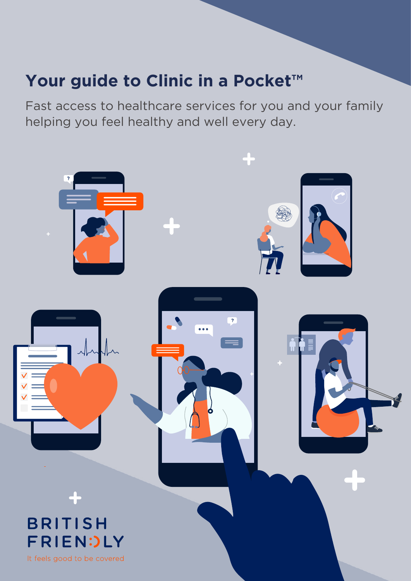# **Your guide to Clinic in a Pocket™**

Fast access to healthcare services for you and your family helping you feel healthy and well every day.

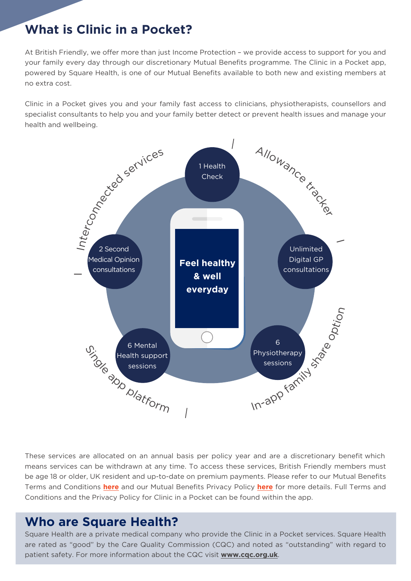# **What is Clinic in a Pocket?**

At British Friendly, we offer more than just Income Protection – we provide access to support for you and your family every day through our discretionary Mutual Benefits programme. The Clinic in a Pocket app, powered by Square Health, is one of our Mutual Benefits available to both new and existing members at no extra cost.

Clinic in a Pocket gives you and your family fast access to clinicians, physiotherapists, counsellors and specialist consultants to help you and your family better detect or prevent health issues and manage your health and wellbeing.



These services are allocated on an annual basis per policy year and are a discretionary benefit which means services can be withdrawn at any time. To access these services, British Friendly members must be age 18 or older, UK resident and up-to-date on premium payments. Please refer to our Mutual Benefits Terms and Conditions **[here](https://www.britishfriendly.com/Docs/Mutual-Benefits_TC.pdf)** and our Mutual Benefits Privacy Policy **[here](https://members.britishfriendly.com/privacy-policy/)** for more details. Full Terms and Conditions and the Privacy Policy for Clinic in a Pocket can be found within the app.

# **Who are Square Health?**

Square Health are a private medical company who provide the Clinic in a Pocket services. Square Health are rated as "good" by the Care Quality Commission (CQC) and noted as "outstanding" with regard to patient safety. For more information about the CQC visit **www.cqc.org.uk**.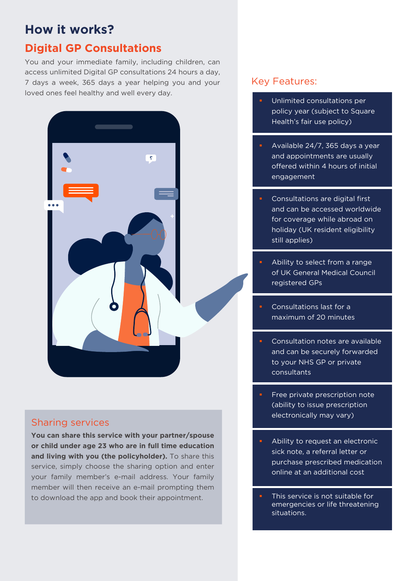# **Digital GP Consultations**

You and your immediate family, including children, can access unlimited Digital GP consultations 24 hours a day, 7 days a week, 365 days a year helping you and your loved ones feel healthy and well every day.



### Sharing services

**You can share this service with your partner/spouse or child under age 23 who are in full time education and living with you (the policyholder).** To share this service, simply choose the sharing option and enter your family member's e-mail address. Your family member will then receive an e-mail prompting them to download the app and book their appointment.

- Unlimited consultations per policy year (subject to Square Health's fair use policy)
- Available 24/7, 365 days a year and appointments are usually offered within 4 hours of initial engagement
- Consultations are digital first and can be accessed worldwide for coverage while abroad on holiday (UK resident eligibility still applies)
- Ability to select from a range of UK General Medical Council registered GPs
- Consultations last for a maximum of 20 minutes
- Consultation notes are available and can be securely forwarded to your NHS GP or private consultants
- Free private prescription note (ability to issue prescription electronically may vary)
- Ability to request an electronic sick note, a referral letter or purchase prescribed medication online at an additional cost
- This service is not suitable for emergencies or life threatening situations.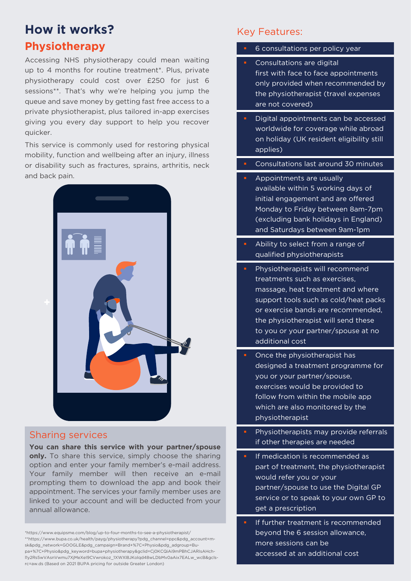### **Physiotherapy**

Accessing NHS physiotherapy could mean waiting up to 4 months for routine treatment\*. Plus, private physiotherapy could cost over £250 for just 6 sessions\*\*. That's why we're helping you jump the queue and save money by getting fast free access to a private physiotherapist, plus tailored in-app exercises giving you every day support to help you recover quicker.

This service is commonly used for restoring physical mobility, function and wellbeing after an injury, illness or disability such as fractures, sprains, arthritis, neck and back pain.



### Sharing services

**You can share this service with your partner/spouse only.** To share this service, simply choose the sharing option and enter your family member's e-mail address. Your family member will then receive an e-mail prompting them to download the app and book their appointment. The services your family member uses are linked to your account and will be deducted from your annual allowance.

\*https://www.equipsme.com/blog/up-to-four-months-to-see-a-physiotherapist/ \*\*https://www.bupa.co.uk/health/payg/physiotherapy?pdg\_channel=ppc&pdg\_account=msk&pdg\_network=GOOGLE&pdg\_campaign=Brand+%7C+Physio&pdg\_adgroup=Bupa+%7C+Physio&pdg\_keyword=bupa+physiotherapy&gclid=Cj0KCQiAi9mPBhCJARIsAHchl1y2Rs5wVAsnVwmu7XjMeXeI9CVwrokoz\_1XWXl8JKolqd48wLDbMv0aAix7EALw\_wcB&gclsrc=aw.ds (Based on 2021 BUPA pricing for outside Greater London)

- 6 consultations per policy year Consultations are digital first with face to face appointments only provided when recommended by the physiotherapist (travel expenses are not covered) Digital appointments can be accessed worldwide for coverage while abroad on holiday (UK resident eligibility still applies) Consultations last around 30 minutes Appointments are usually available within 5 working days of initial engagement and are offered Monday to Friday between 8am-7pm (excluding bank holidays in England) and Saturdays between 9am-1pm Ability to select from a range of qualified physiotherapists Physiotherapists will recommend treatments such as exercises, massage, heat treatment and where support tools such as cold/heat packs or exercise bands are recommended, the physiotherapist will send these to you or your partner/spouse at no additional cost Once the physiotherapist has designed a treatment programme for you or your partner/spouse, exercises would be provided to follow from within the mobile app which are also monitored by the physiotherapist Physiotherapists may provide referrals if other therapies are needed
	- If medication is recommended as part of treatment, the physiotherapist would refer you or your partner/spouse to use the Digital GP service or to speak to your own GP to get a prescription
- If further treatment is recommended beyond the 6 session allowance, more sessions can be accessed at an additional cost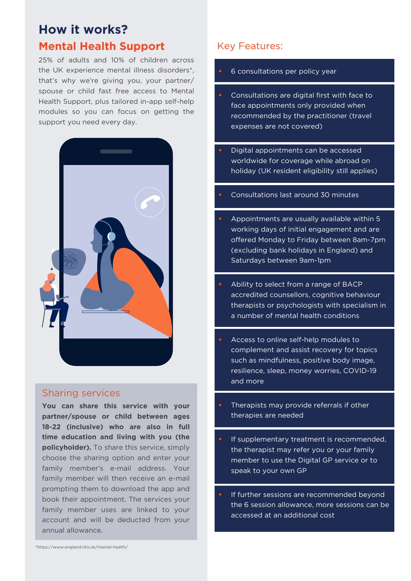# **How it works? Mental Health Support**

25% of adults and 10% of children across the UK experience mental illness disorders\*, that's why we're giving you, your partner/ spouse or child fast free access to Mental Health Support, plus tailored in-app self-help modules so you can focus on getting the support you need every day.



### Sharing services

**You can share this service with your partner/spouse or child between ages 18-22 (inclusive) who are also in full time education and living with you (the policyholder).** To share this service, simply choose the sharing option and enter your family member's e-mail address. Your family member will then receive an e-mail prompting them to download the app and book their appointment. The services your family member uses are linked to your account and will be deducted from your annual allowance.

### Key Features:

#### 6 consultations per policy year

- Consultations are digital first with face to face appointments only provided when recommended by the practitioner (travel expenses are not covered)
- Digital appointments can be accessed worldwide for coverage while abroad on holiday (UK resident eligibility still applies)
- Consultations last around 30 minutes
- Appointments are usually available within 5 working days of initial engagement and are offered Monday to Friday between 8am-7pm (excluding bank holidays in England) and Saturdays between 9am-1pm
- Ability to select from a range of BACP accredited counsellors, cognitive behaviour therapists or psychologists with specialism in a number of mental health conditions
- Access to online self-help modules to complement and assist recovery for topics such as mindfulness, positive body image, resilience, sleep, money worries, COVID-19 and more
- Therapists may provide referrals if other therapies are needed
- If supplementary treatment is recommended, the therapist may refer you or your family member to use the Digital GP service or to speak to your own GP
- If further sessions are recommended beyond the 6 session allowance, more sessions can be accessed at an additional cost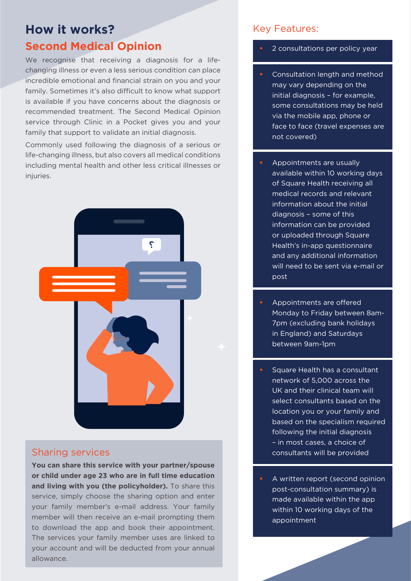### **Second Medical Opinion**

We recognise that receiving a diagnosis for a lifechanging illness or even a less serious condition can place incredible emotional and financial strain on you and your family. Sometimes it's also difficult to know what support is available if you have concerns about the diagnosis or recommended treatment. The Second Medical Opinion service through Clinic in a Pocket gives you and your family that support to validate an initial diagnosis.

Commonly used following the diagnosis of a serious or life-changing illness, but also covers all medical conditions including mental health and other less critical illnesses or injuries.



### Sharing services

**You can share this service with your partner/spouse or child under age 23 who are in full time education and living with you (the policyholder).** To share this service, simply choose the sharing option and enter your family member's e-mail address. Your family member will then receive an e-mail prompting them to download the app and book their appointment. The services your family member uses are linked to your account and will be deducted from your annual allowance.

- 2 consultations per policy year
- Consultation length and method may vary depending on the initial diagnosis – for example, some consultations may be held via the mobile app, phone or face to face (travel expenses are not covered)
- Appointments are usually available within 10 working days of Square Health receiving all medical records and relevant information about the initial diagnosis – some of this information can be provided or uploaded through Square Health's in-app questionnaire and any additional information will need to be sent via e-mail or post
- Appointments are offered Monday to Friday between 8am-7pm (excluding bank holidays in England) and Saturdays between 9am-1pm
- Square Health has a consultant network of 5,000 across the UK and their clinical team will select consultants based on the location you or your family and based on the specialism required following the initial diagnosis – in most cases, a choice of consultants will be provided
- A written report (second opinion post-consultation summary) is made available within the app within 10 working days of the appointment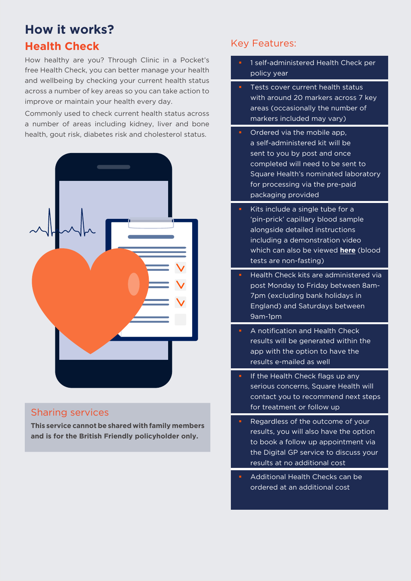# **Health Check**

How healthy are you? Through Clinic in a Pocket's free Health Check, you can better manage your health and wellbeing by checking your current health status across a number of key areas so you can take action to improve or maintain your health every day.

Commonly used to check current health status across a number of areas including kidney, liver and bone health, gout risk, diabetes risk and cholesterol status.



### Sharing services

**This service cannot be shared with family members and is for the British Friendly policyholder only.**

- 1 self-administered Health Check per policy year
- Tests cover current health status with around 20 markers across 7 key areas (occasionally the number of markers included may vary)
- **COLD** Ordered via the mobile app, a self-administered kit will be sent to you by post and once completed will need to be sent to Square Health's nominated laboratory for processing via the pre-paid packaging provided
- Kits include a single tube for a 'pin-prick' capillary blood sample alongside detailed instructions including a demonstration video which can also be viewed **[here](https://vimeo.com/653639625/6fc84c235a)** (blood tests are non-fasting)
- Health Check kits are administered via post Monday to Friday between 8am-7pm (excluding bank holidays in England) and Saturdays between 9am-1pm
- A notification and Health Check results will be generated within the app with the option to have the results e-mailed as well
- If the Health Check flags up any serious concerns, Square Health will contact you to recommend next steps for treatment or follow up
- Regardless of the outcome of your results, you will also have the option to book a follow up appointment via the Digital GP service to discuss your results at no additional cost
- Additional Health Checks can be ordered at an additional cost